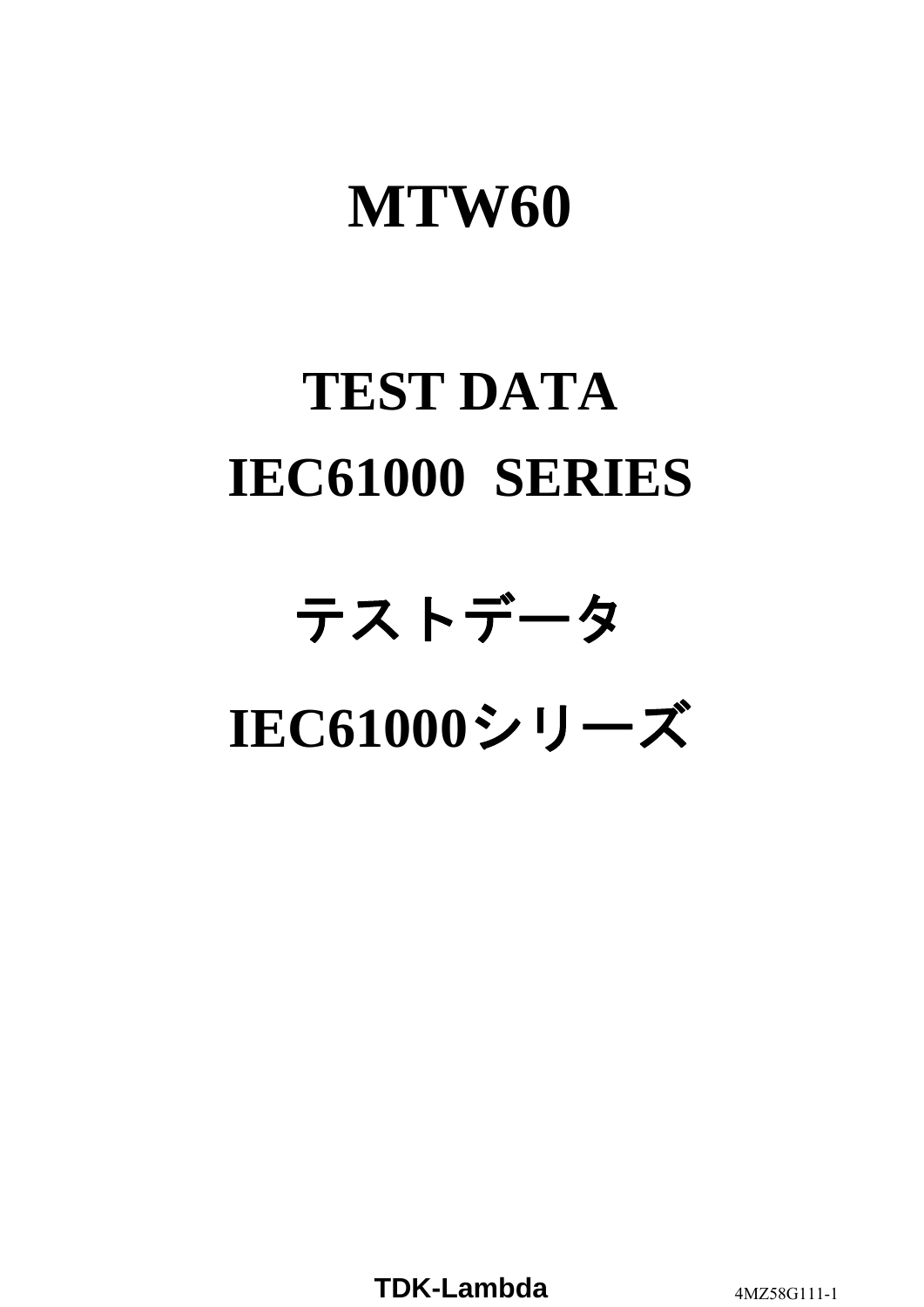# **MTW60**

# **TEST DATA IEC61000 SERIES**

# テストデータ **IEC61000**シリーズ

**TDK-Lambda** 4MZ58G111-1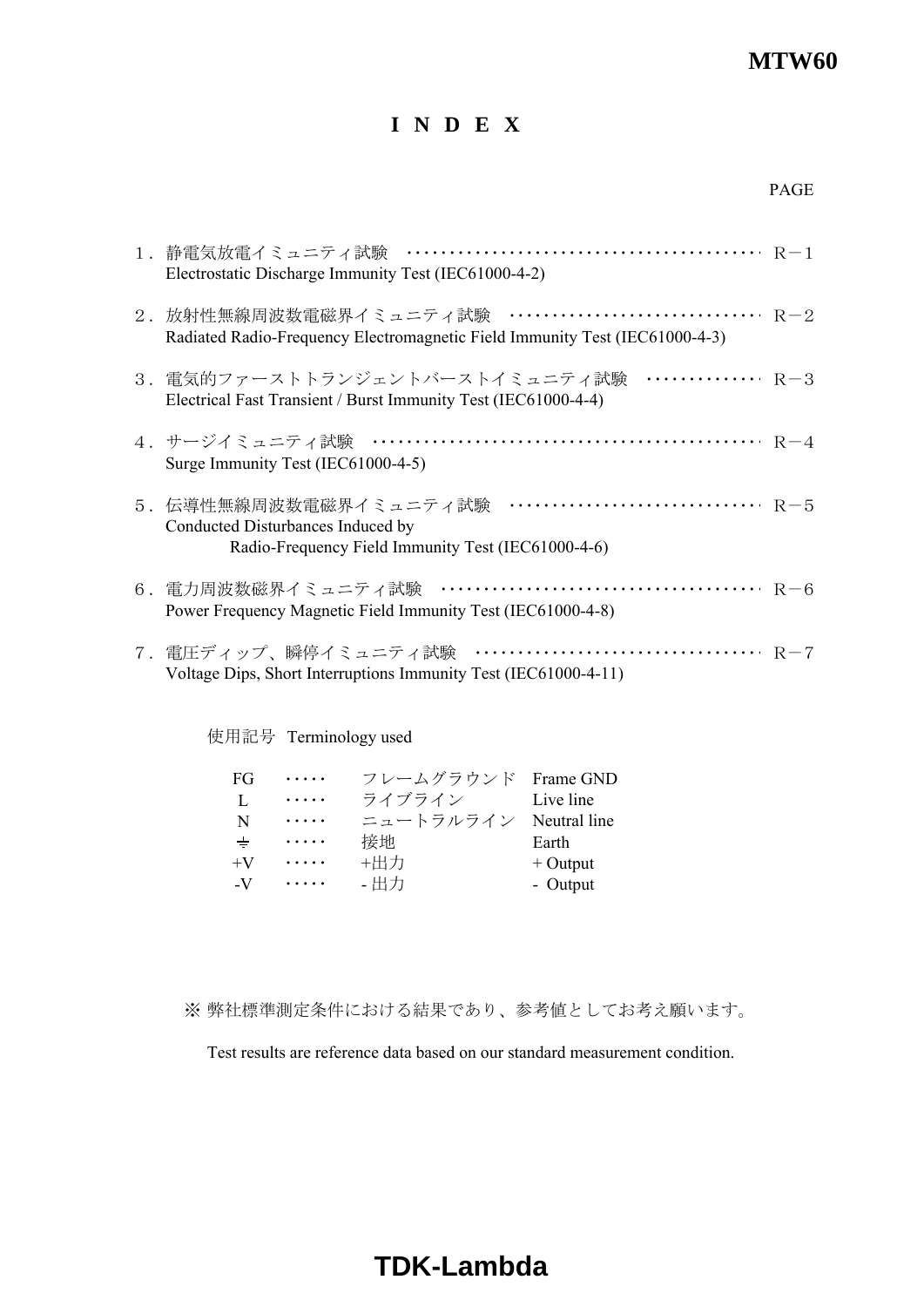#### **MTW60**

#### **I N D E X**

| 1.静電気放電イミュニティ試験<br>Electrostatic Discharge Immunity Test (IEC61000-4-2)                                                                    |  |
|--------------------------------------------------------------------------------------------------------------------------------------------|--|
| 2. 放射性無線周波数電磁界イミュニティ試験 ································ R-2<br>Radiated Radio-Frequency Electromagnetic Field Immunity Test (IEC61000-4-3) |  |
| 3.電気的ファーストトランジェントバーストイミュニティ試験 ··············· R-3<br>Electrical Fast Transient / Burst Immunity Test (IEC61000-4-4)                        |  |
| 4.サージイミュニティ試験<br>Surge Immunity Test (IEC61000-4-5)                                                                                        |  |
| R-5<br>5.伝導性無線周波数電磁界イミュニティ試験<br>Conducted Disturbances Induced by<br>Radio-Frequency Field Immunity Test (IEC61000-4-6)                    |  |
| Power Frequency Magnetic Field Immunity Test (IEC61000-4-8)                                                                                |  |
| $R-7$<br>7. 電圧ディップ、瞬停イミュニティ試験<br>Voltage Dips, Short Interruptions Immunity Test (IEC61000-4-11)                                           |  |

使用記号 Terminology used

| FG    | .        | フレームグラウンド              | Frame GND  |
|-------|----------|------------------------|------------|
| L     | .        | ライブライン                 | Live line  |
| N     | .        | ニュートラルライン Neutral line |            |
| $\pm$ | .        | 接地                     | Earth      |
| $+V$  | .        | +出力                    | $+$ Output |
| $-V$  | $\cdots$ | - 出力                   | - Output   |

※ 弊社標準測定条件における結果であり、参考値としてお考え願います。

Test results are reference data based on our standard measurement condition.

# **TDK-Lambda**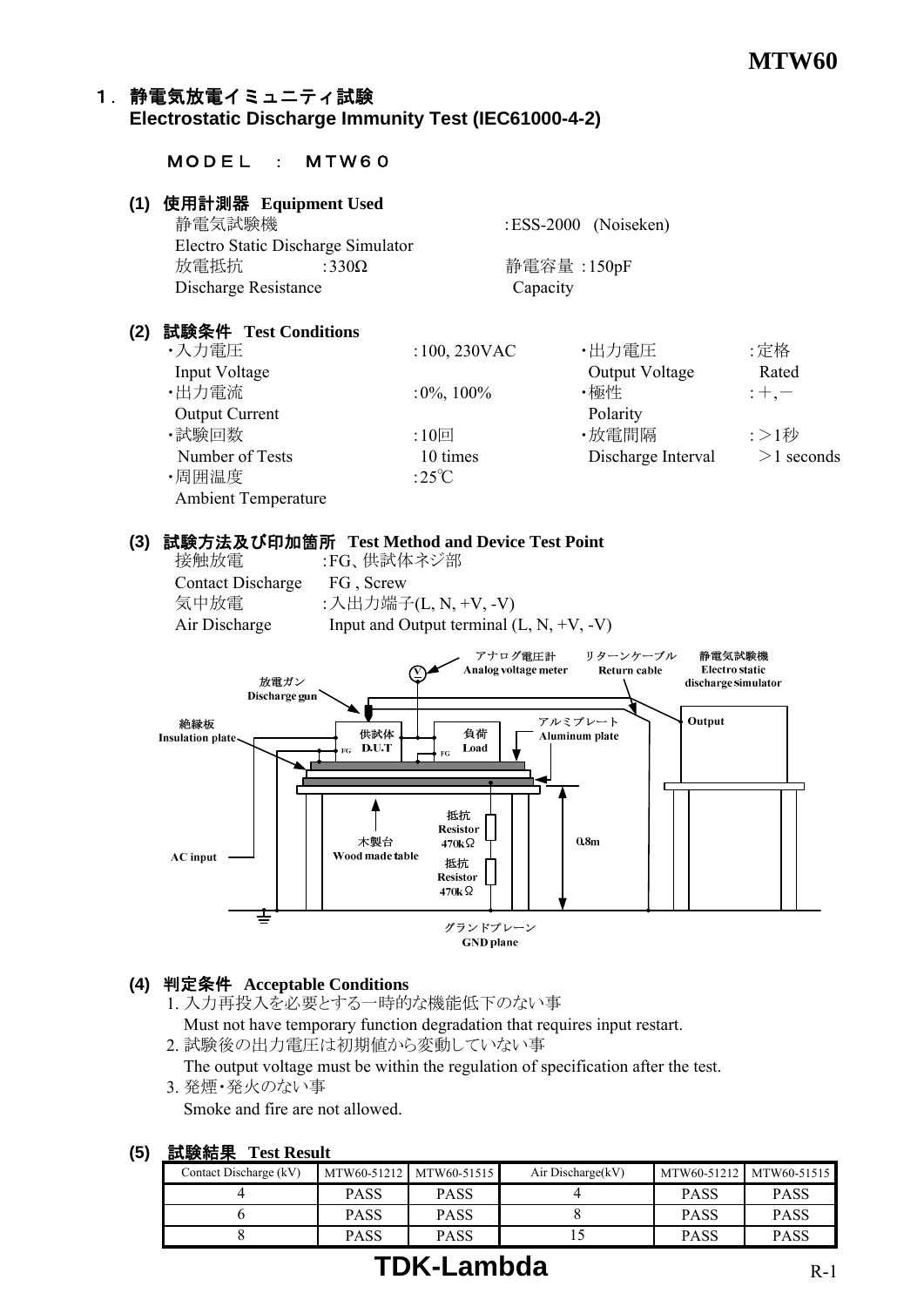## 1. 静電気放電イミュニティ試験

#### **Electrostatic Discharge Immunity Test (IEC61000-4-2)**

#### MODEL : MTW60

#### **(1)** 使用計測器 **Equipment Used**

| 静電気試験機               |                                    | :ESS-2000 (Noiseken) |
|----------------------|------------------------------------|----------------------|
|                      | Electro Static Discharge Simulator |                      |
| 放電抵抗                 | :330 $\Omega$                      | 静電容量 :150pF          |
| Discharge Resistance |                                    | Capacity             |

#### **(2)** 試験条件 **Test Conditions**

| ・入力電圧                      | $:100,230$ VAC  | ・出力電圧              | :定格          |
|----------------------------|-----------------|--------------------|--------------|
| Input Voltage              |                 | Output Voltage     | Rated        |
| ・出力電流                      | $:0\%$ , 100%   | ・極性                | $;+,--$      |
| <b>Output Current</b>      |                 | Polarity           |              |
| ・試験回数                      | :10回            | ・放電間隔              | :>1秒         |
| Number of Tests            | 10 times        | Discharge Interval | $>1$ seconds |
| ・周囲温度                      | :25 $\degree$ C |                    |              |
| <b>Ambient Temperature</b> |                 |                    |              |

#### **(3)** 試験方法及び印加箇所 **Test Method and Device Test Point**

Contact Discharge FG , Screw

 接触放電 :FG、供試体ネジ部 気中放電 :入出力端子(L, N, +V, -V) Air Discharge Input and Output terminal  $(L, N, +V, -V)$ 



#### **(4)** 判定条件 **Acceptable Conditions**

- 1. 入力再投入を必要とする一時的な機能低下のない事 Must not have temporary function degradation that requires input restart.
- 2. 試験後の出力電圧は初期値から変動していない事

The output voltage must be within the regulation of specification after the test.

3. 発煙・発火のない事

Smoke and fire are not allowed.

#### **(5)** 試験結果 **Test Result**

| $\sim$ 000 avoided     |             |                         |                   |             |                         |
|------------------------|-------------|-------------------------|-------------------|-------------|-------------------------|
| Contact Discharge (kV) |             | MTW60-51212 MTW60-51515 | Air Discharge(kV) |             | MTW60-51212 MTW60-51515 |
|                        | <b>PASS</b> | <b>PASS</b>             |                   | <b>PASS</b> | <b>PASS</b>             |
|                        | <b>PASS</b> | <b>PASS</b>             |                   | <b>PASS</b> | <b>PASS</b>             |
|                        | <b>PASS</b> | <b>PASS</b>             |                   | PASS        | PASS                    |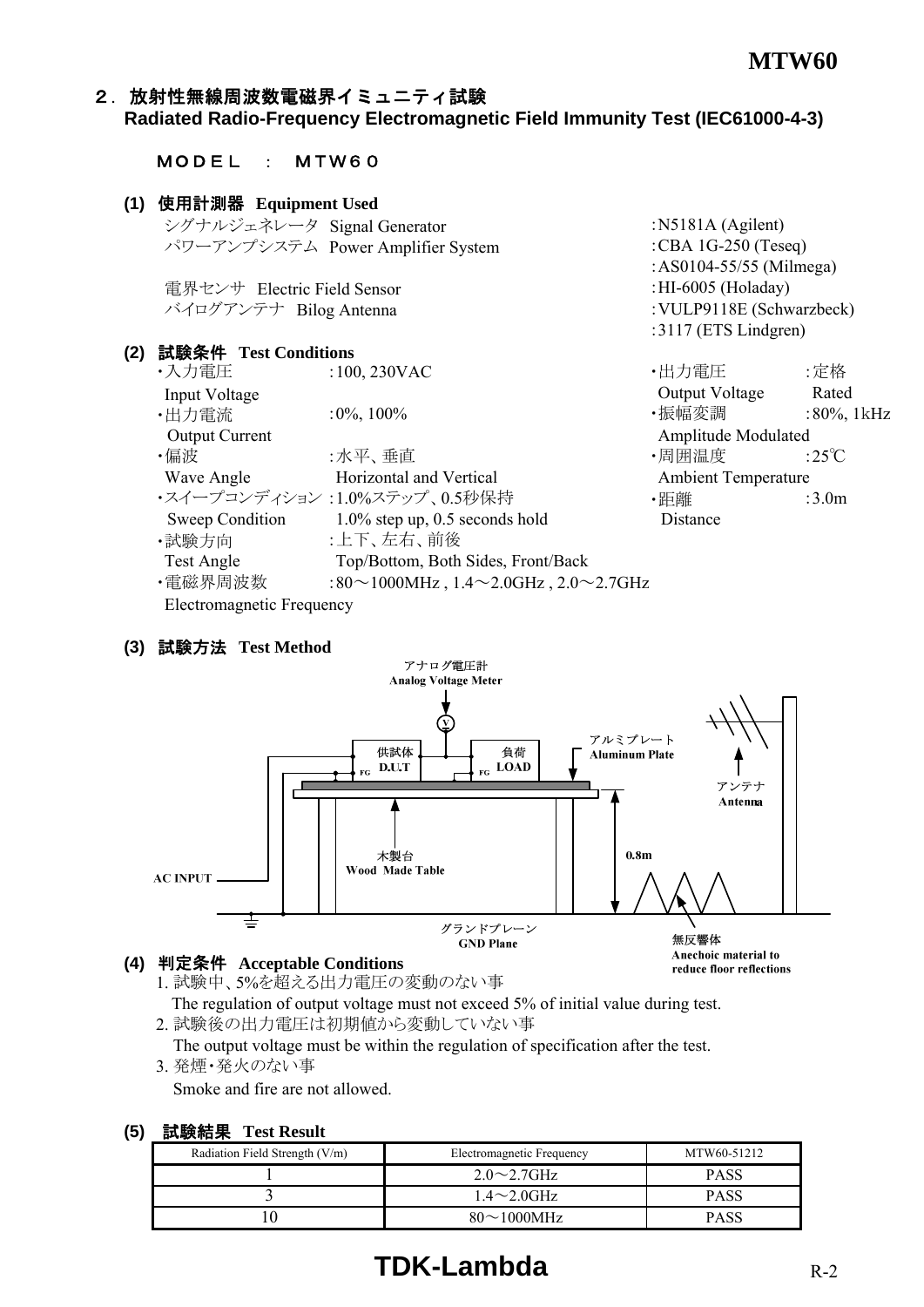# 2. 放射性無線周波数電磁界イミュニティ試験

#### **Radiated Radio-Frequency Electromagnetic Field Immunity Test (IEC61000-4-3)**

#### **(1)** 使用計測器 **Equipment Used** シグナルジェネレータ Signal Generator :N5181A (Agilent) パワーアンプシステム Power Amplifier System :CBA 1G-250 (Teseq) :AS0104-55/55 (Milmega) 電界センサ Electric Field Sensor :HI-6005 (Holaday) バイログアンテナ Bilog Antenna :VULP9118E (Schwarzbeck) :3117 (ETS Lindgren) **(2)** 試験条件 **Test Conditions** ・入力電圧 :100, 230VAC ・出力電圧 :定格 Input Voltage Rated ・出力電流 :0%, 100% ・振幅変調 :80%, 1kHz Output Current **Amplitude Modulated** Amplitude Modulated  $\cdot$ 偏波 :水平、垂直 ・周囲温度 :25℃ Wave Angle **Horizontal and Vertical** Ambient Temperature ・スイープコンディション :1.0%ステップ、0.5秒保持 ・・・・・・・・・ ・ 距離 ・・・・ :3.0m Sweep Condition 1.0% step up, 0.5 seconds hold Distance ・試験方向 :上下、左右、前後 Test Angle Top/Bottom, Both Sides, Front/Back •電磁界周波数 :80~1000MHz , 1.4~2.0GHz , 2.0~2.7GHz

#### Electromagnetic Frequency

MODEL : MTW60

#### **(3)** 試験方法 **Test Method**



#### **(4)** 判定条件 **Acceptable Conditions**

- 1. 試験中、5%を超える出力電圧の変動のない事 The regulation of output voltage must not exceed 5% of initial value during test.
- 2. 試験後の出力電圧は初期値から変動していない事 The output voltage must be within the regulation of specification after the test.
- 3. 発煙・発火のない事

Smoke and fire are not allowed.

#### **(5)** 試験結果 **Test Result**

| Radiation Field Strength (V/m) | Electromagnetic Frequency | MTW60-51212 |
|--------------------------------|---------------------------|-------------|
|                                | $2.0 \sim 2.7$ GHz        | <b>PASS</b> |
|                                | $1.4\sim2.0$ GHz          | <b>PASS</b> |
|                                | $80 \sim 1000 \text{MHz}$ | <b>PASS</b> |

# **TDK-Lambda** R-2

reduce floor reflections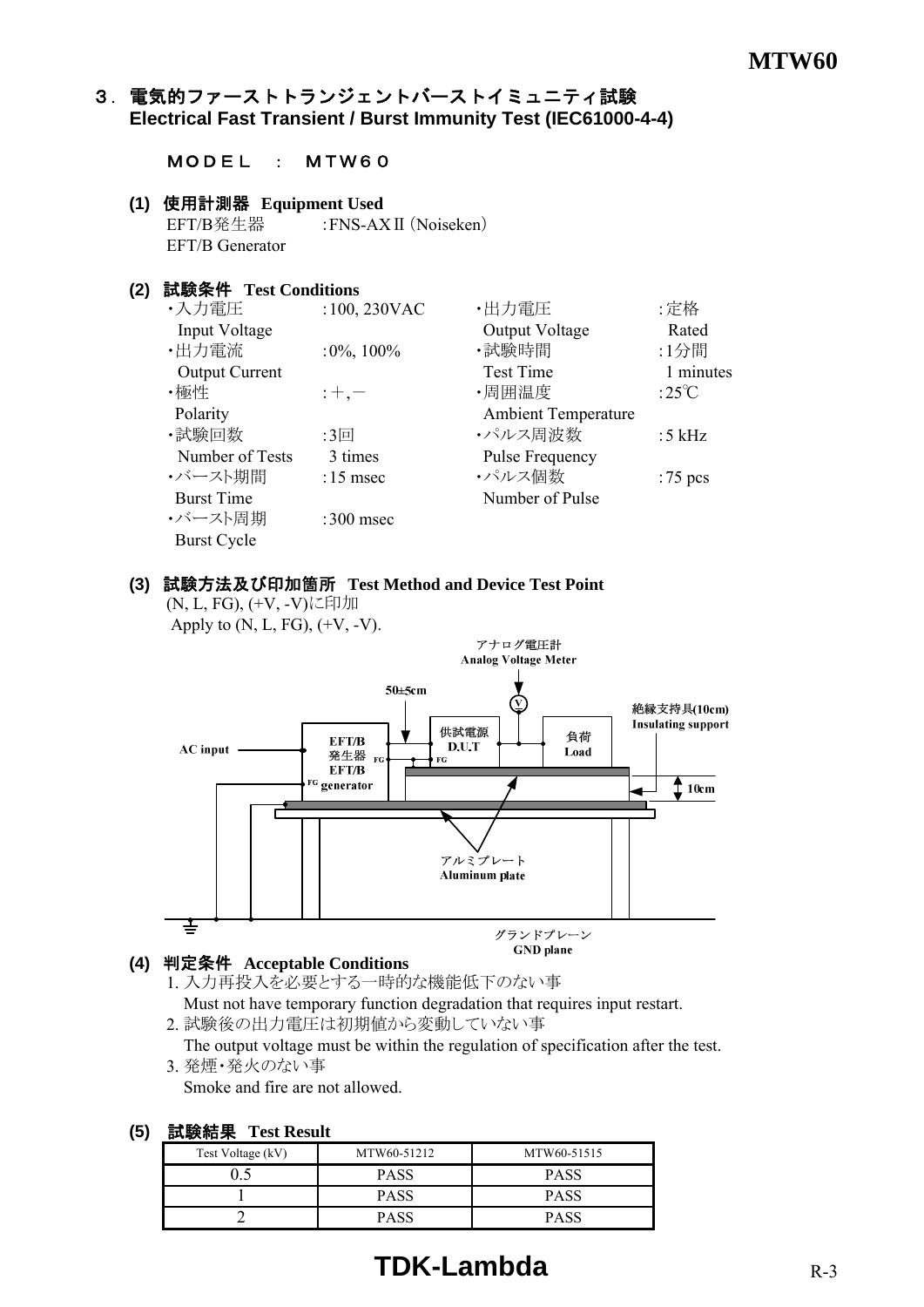#### 3.電気的ファーストトランジェントバーストイミュニティ試験 **Electrical Fast Transient / Burst Immunity Test (IEC61000-4-4)**

#### MODEL : MTW60

#### **(1)** 使用計測器 **Equipment Used**

EFT/B発生器 :FNS-AX II (Noiseken) EFT/B Generator

#### **(2)** 試験条件 **Test Conditions**

| ・入力電圧                 | :100, 230VAC  | ・出力電圧                      | :定格             |
|-----------------------|---------------|----------------------------|-----------------|
| Input Voltage         |               | Output Voltage             | Rated           |
| ·出力電流                 | $:0\%$ , 100% | ・試験時間                      | :1分間            |
| <b>Output Current</b> |               | <b>Test Time</b>           | 1 minutes       |
| ・極性                   | $;+, -$       | ・周囲温度                      | :25 $\degree$ C |
| Polarity              |               | <b>Ambient Temperature</b> |                 |
| ・試験回数                 | :3回           | ・パルス周波数                    | :5 $kHz$        |
| Number of Tests       | 3 times       | Pulse Frequency            |                 |
| ・バースト期間               | $:15$ msec    | ・パルス個数                     | $:75$ pcs       |
| <b>Burst Time</b>     |               | Number of Pulse            |                 |
| ・バースト周期               | :300 msec     |                            |                 |
| <b>Burst Cycle</b>    |               |                            |                 |

#### **(3)** 試験方法及び印加箇所 **Test Method and Device Test Point**

(N, L, FG), (+V, -V)に印加 Apply to  $(N, L, FG)$ ,  $(+V, -V)$ .



#### **(4)** 判定条件 **Acceptable Conditions**

- 1. 入力再投入を必要とする一時的な機能低下のない事 Must not have temporary function degradation that requires input restart.
- 2. 試験後の出力電圧は初期値から変動していない事

 The output voltage must be within the regulation of specification after the test. 3. 発煙・発火のない事

Smoke and fire are not allowed.

| 試験結果 | <b>Test Result</b>              |      |
|------|---------------------------------|------|
|      | $T_{\alpha\alpha}$ Valtage (IV) | MTWL |

| ----------        |             |             |
|-------------------|-------------|-------------|
| Test Voltage (kV) | MTW60-51212 | MTW60-51515 |
|                   | <b>PASS</b> | <b>PASS</b> |
|                   | <b>PASS</b> | <b>PASS</b> |
|                   | <b>PASS</b> | PASS        |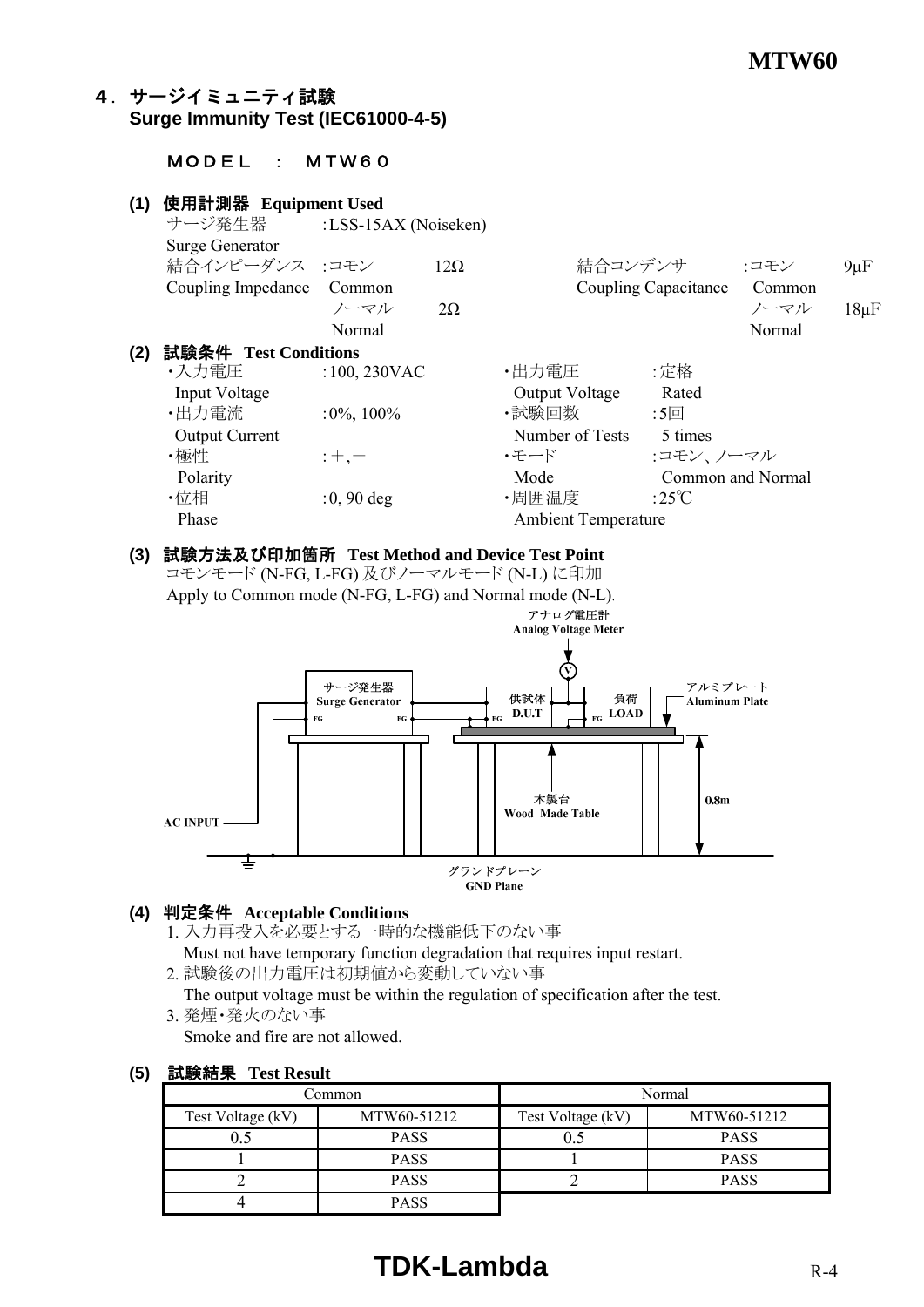#### 4.サージイミュニティ試験 **Surge Immunity Test (IEC61000-4-5)**

#### MODEL : MTW60

#### **(1)** 使用計測器 **Equipment Used** サージ発生器 :LSS-15AX (Noiseken) Surge Generator 結合インピーダンス :コモン 12Ω 結合コンデンサ :コモン 9μF Coupling Impedance Common Coupling Capacitance Common  $2\Omega$  20 20  $2\Omega$  20  $2\Omega$   $2\Omega$   $2\Omega$   $2\Omega$   $2\Omega$   $2\Omega$   $2\Omega$   $2\Omega$   $2\Omega$   $2\Omega$   $2\Omega$   $2\Omega$   $2\Omega$   $2\Omega$   $2\Omega$   $2\Omega$   $2\Omega$   $2\Omega$   $2\Omega$   $2\Omega$   $2\Omega$   $2\Omega$   $2\Omega$   $2\Omega$  Normal Normal Normal Normal Normal Normal Normal Normal Normal Normal Normal Normal Normal Normal Normal Normal Normal Normal Normal Normal Normal Normal Normal Normal Normal Normal Normal Normal Normal Normal Normal Norma **(2)** 試験条件 **Test Conditions** •入力電圧 :100,230VAC •出力電圧 :定格 Input Voltage **Containers** Cutton Cutton Cutton Cutton Cutton Cutton Cutton Cutton Cutton Cutton Cutton Cutton Cutton Cutton Cutton Cutton Cutton Cutton Cutton Cutton Cutton Cutton Cutton Cutton Cutton Cutton Cutton Cutton ・出力電流 :0%, 100% ・試験回数 :5回 Output Current Number of Tests 5 times ・極性 :+,- ・モード :コモン、ノーマル Polarity **Mode** Common and Normal Common and Normal ・位相  $:0, 90$  deg  $\qquad \qquad$  ・周囲温度  $:25^{\circ}\text{C}$ Phase Ambient Temperature

#### **(3)** 試験方法及び印加箇所 **Test Method and Device Test Point**

コモンモード (N-FG, L-FG) 及びノーマルモード (N-L) に印加

Apply to Common mode (N-FG, L-FG) and Normal mode (N-L).



#### **(4)** 判定条件 **Acceptable Conditions**

- 1. 入力再投入を必要とする一時的な機能低下のない事
- Must not have temporary function degradation that requires input restart.

2. 試験後の出力電圧は初期値から変動していない事

 The output voltage must be within the regulation of specification after the test. 3. 発煙・発火のない事

Smoke and fire are not allowed.

| Common            |             | Normal            |             |
|-------------------|-------------|-------------------|-------------|
| Test Voltage (kV) | MTW60-51212 | Test Voltage (kV) | MTW60-51212 |
|                   | <b>PASS</b> | 0.:               | <b>PASS</b> |
|                   | <b>PASS</b> |                   | <b>PASS</b> |
|                   | <b>PASS</b> |                   | <b>PASS</b> |
|                   | <b>PASS</b> |                   |             |

#### **(5)** 試験結果 **Test Result**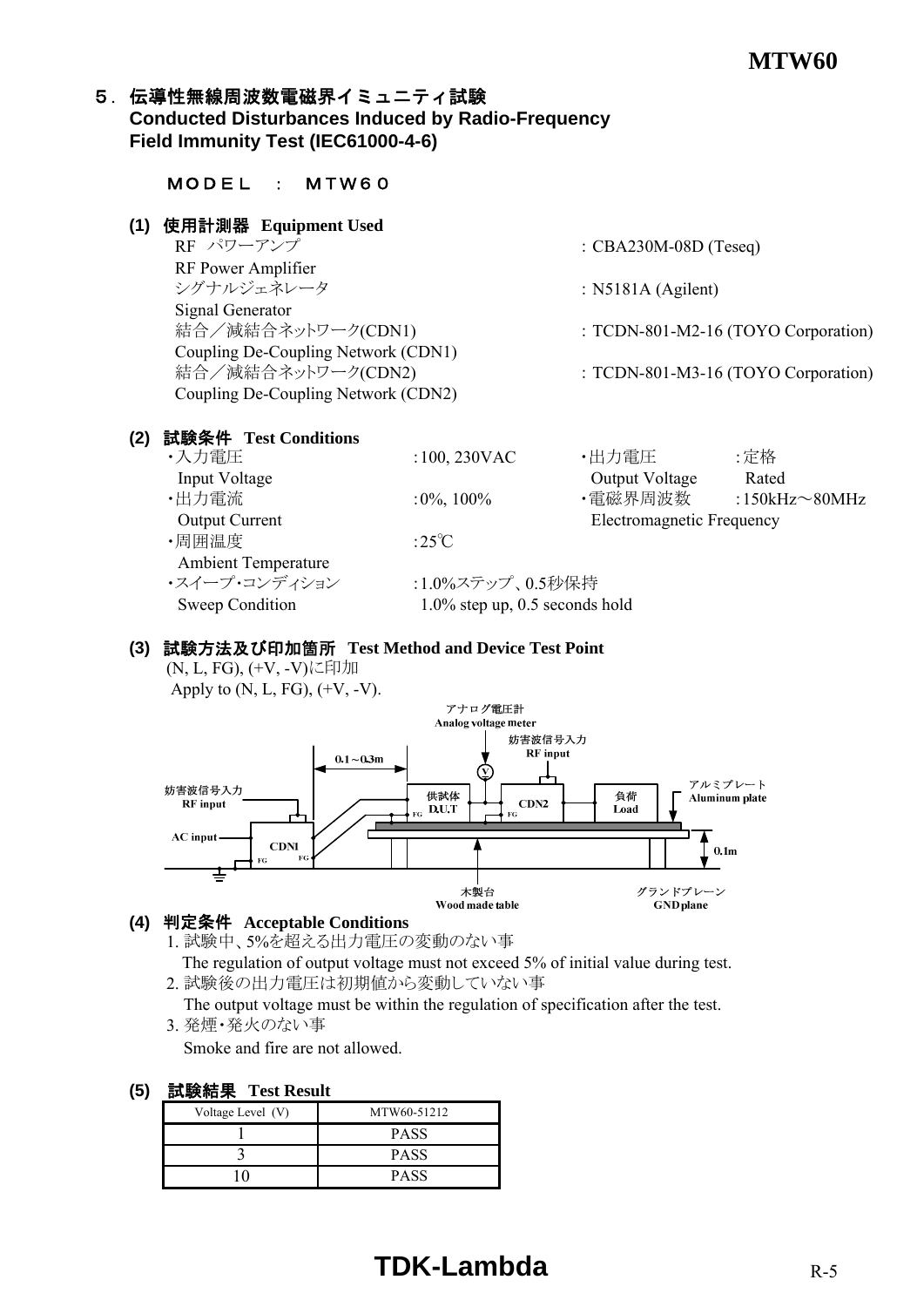#### 5. 伝導性無線周波数電磁界イミュニティ試験 **Conducted Disturbances Induced by Radio-Frequency Field Immunity Test (IEC61000-4-6)**

| 使用計測器 Equipment Used<br>(1)          |                                                       |                           |                                     |
|--------------------------------------|-------------------------------------------------------|---------------------------|-------------------------------------|
| RF パワーアンプ                            |                                                       | : $CBA230M-08D$ (Teseq)   |                                     |
| RF Power Amplifier                   |                                                       |                           |                                     |
| シグナルジェネレータ                           |                                                       | : $N5181A$ (Agilent)      |                                     |
| <b>Signal Generator</b>              |                                                       |                           |                                     |
| 結合/減結合ネットワーク(CDN1)                   |                                                       |                           | : TCDN-801-M2-16 (TOYO Corporation) |
| Coupling De-Coupling Network (CDN1)  |                                                       |                           |                                     |
| 結合/減結合ネットワーク(CDN2)                   |                                                       |                           | : TCDN-801-M3-16 (TOYO Corporation) |
| Coupling De-Coupling Network (CDN2)  |                                                       |                           |                                     |
|                                      |                                                       |                           |                                     |
| 試験条件 Test Conditions<br>(2)<br>・入力電圧 | $:100,230$ VAC                                        | ・出力電圧                     | :定格                                 |
| Input Voltage                        |                                                       | Output Voltage            | Rated                               |
| ・出力電流                                | $:0\%, 100\%$                                         |                           | ・電磁界周波数   :150kHz~80MHz             |
| <b>Output Current</b>                |                                                       | Electromagnetic Frequency |                                     |
| ・周囲温度                                | :25 $\degree$ C                                       |                           |                                     |
| <b>Ambient Temperature</b>           |                                                       |                           |                                     |
| ・スイープ・コンディション<br>Sweep Condition     | :1.0%ステップ、0.5秒保持<br>$1.0\%$ step up, 0.5 seconds hold |                           |                                     |

#### **(3)** 試験方法及び印加箇所 **Test Method and Device Test Point**

(N, L, FG), (+V, -V)に印加 Apply to  $(N, L, FG)$ ,  $(+V, -V)$ .



#### **(4)** 判定条件 **Acceptable Conditions**

1. 試験中、5%を超える出力電圧の変動のない事

 The regulation of output voltage must not exceed 5% of initial value during test. 2. 試験後の出力電圧は初期値から変動していない事

The output voltage must be within the regulation of specification after the test.

3. 発煙・発火のない事

Smoke and fire are not allowed.

| 試験結果<br>(5)<br><b>Test Result</b> |
|-----------------------------------|
|-----------------------------------|

| .                 |             |  |  |  |
|-------------------|-------------|--|--|--|
| Voltage Level (V) | MTW60-51212 |  |  |  |
|                   | <b>PASS</b> |  |  |  |
|                   | <b>PASS</b> |  |  |  |
|                   | <b>PASS</b> |  |  |  |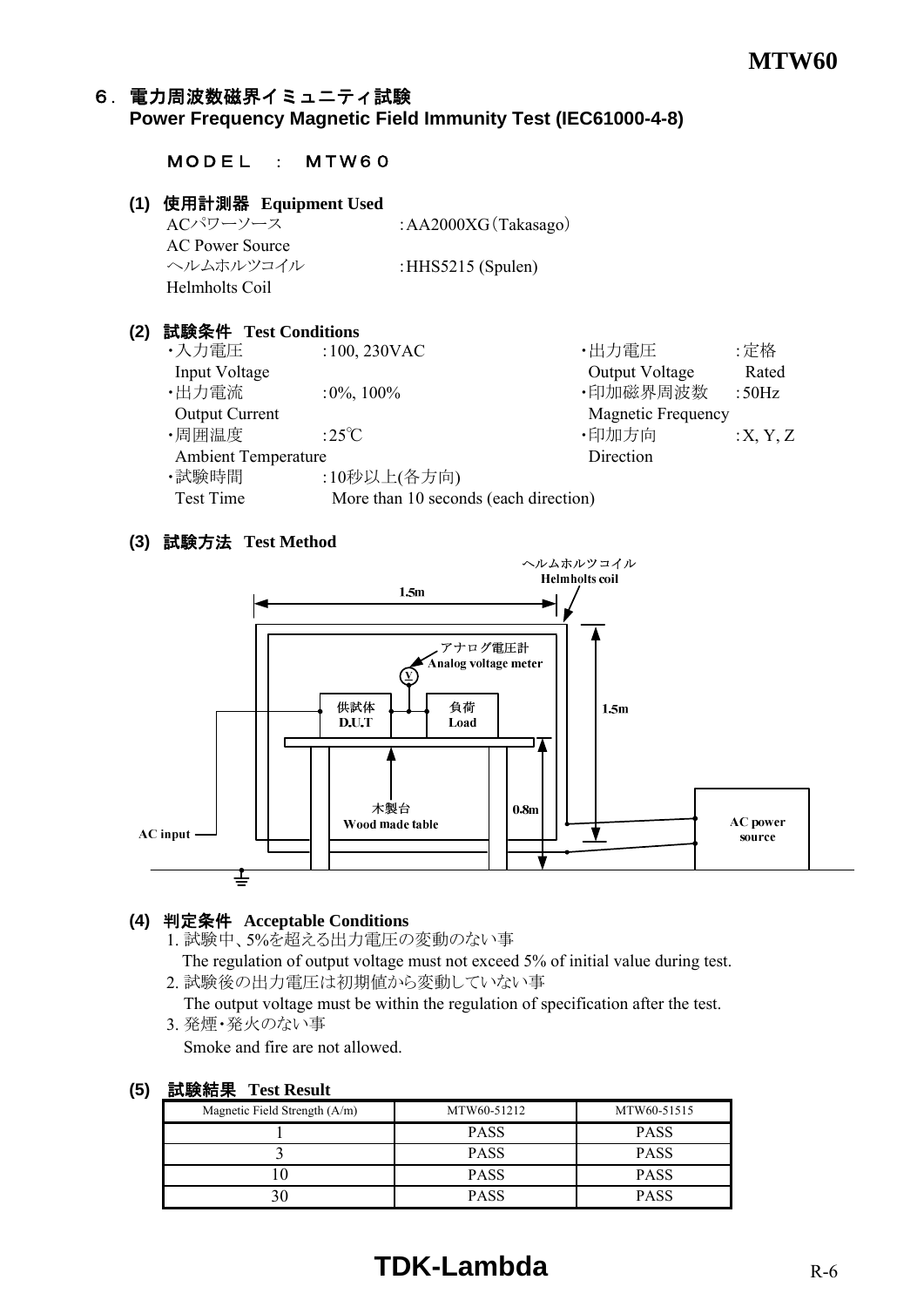#### 6.電力周波数磁界イミュニティ試験 **Power Frequency Magnetic Field Immunity Test (IEC61000-4-8)**

#### MODEL : MTW60

#### **(1)** 使用計測器 **Equipment Used**

ACパワーソース :AA2000XG(Takasago) AC Power Source ヘルムホルツコイル :HHS5215 (Spulen) Helmholts Coil

#### **(2)** 試験条件 **Test Conditions**

•入力電圧 :100, 230VAC · 大力電圧 :定格 Input Voltage Rated ・出力電流 :0%, 100% ・印加磁界周波数 :50Hz Output Current Magnetic Frequency •周囲温度  $:25^{\circ}\text{C}$   $\qquad \qquad$  •印加方向  $:X, Y, Z$ Ambient Temperature Direction ·試験時間 :10秒以上(各方向) Test Time More than 10 seconds (each direction)

#### **(3)** 試験方法 **Test Method**



#### **(4)** 判定条件 **Acceptable Conditions**

1. 試験中、5%を超える出力電圧の変動のない事

 The regulation of output voltage must not exceed 5% of initial value during test. 2. 試験後の出力電圧は初期値から変動していない事

The output voltage must be within the regulation of specification after the test.

3. 発煙・発火のない事

Smoke and fire are not allowed.

#### **(5)** 試験結果 **Test Result**

| Magnetic Field Strength $(A/m)$ | MTW60-51212 | MTW60-51515 |
|---------------------------------|-------------|-------------|
|                                 | <b>PASS</b> | <b>PASS</b> |
|                                 | <b>PASS</b> | <b>PASS</b> |
|                                 | <b>PASS</b> | <b>PASS</b> |
|                                 | <b>PASS</b> | <b>PASS</b> |